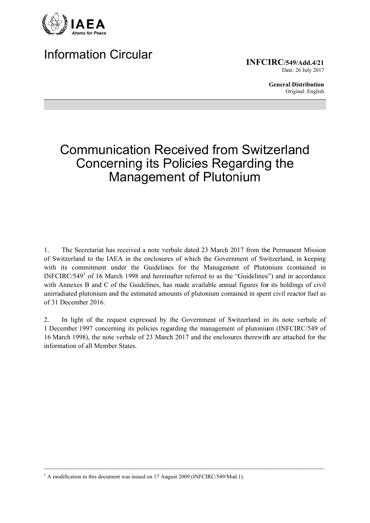

## **Information Circular**

**INFCIRC/549/Add.4/21** Date: 26 July 2017

> **General Distribution** Original: English

# **Communication Received from Switzerland Concerning its Policies Regarding the** Management of Plutonium

The Secretariat has received a note verbale dated 23 March 2017 from the Permanent Mission  $\mathbf{1}$ of Switzerland to the IAEA in the enclosures of which the Government of Switzerland, in keeping with its commitment under the Guidelines for the Management of Plutonium (contained in INFCIRC/549<sup>1</sup> of 16 March 1998 and hereinafter referred to as the "Guidelines") and in accordance with Annexes B and C of the Guidelines, has made available annual figures for its holdings of civil unirradiated plutonium and the estimated amounts of plutonium contained in spent civil reactor fuel as of 31 December 2016.

In light of the request expressed by the Government of Switzerland in its note verbale of  $2.$ 1 December 1997 concerning its policies regarding the management of plutonium (INFCIRC/549 of 16 March 1998), the note verbale of 23 March 2017 and the enclosures therewith are attached for the information of all Member States

<sup>&</sup>lt;sup>1</sup> A modification to this document was issued on 17 August 2009 (INFCIRC/549/Mod.1).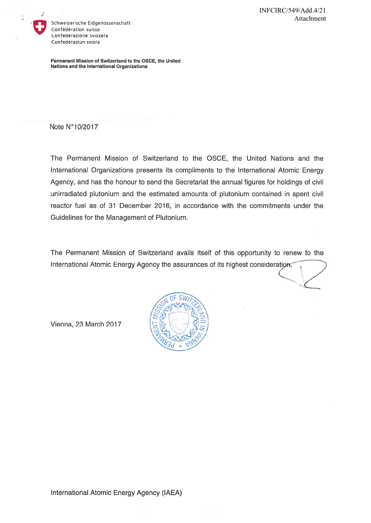

Schweizerische Eidgenossenschaft Confédération suisse Confederazione Svizzera Confederaziun svizra

Permanent Mission of Switzerland to the OSCE, the United Nations and the International Organizations

Note N°10/2017

The Permanent Mission of Switzerland to the OSCE, the United Nations and the International Organizations presents its compliments to the International Atomic Energy Agency, and has the honour to send the Secretariat the annual figures for holdings of civil unirradiated plutonium and the estimated amounts of plutonium contained in spent civil reactor fuel as of 31 December 2016, in accordance with the commitments under the Guidelines for the Management of Plutonium.

The Permanent Mission of Switzerland avails itself of this opportunity to renew to the International Atomic Energy Agency the assurances of its highest consideration.



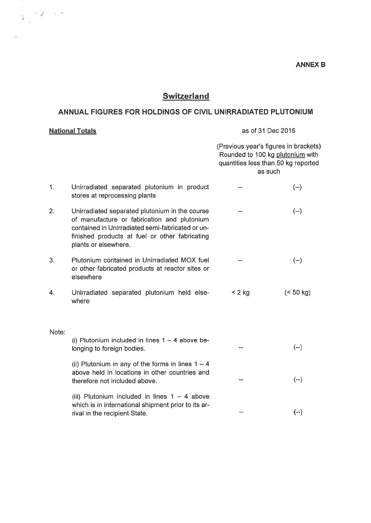### **Switzerland**

 $\mathcal{A} = \mathcal{A} \quad \mathcal{A} = \mathcal{A} \quad \mathcal{A} = \mathcal{A} \quad \mathcal{A} = \mathcal{A} \quad \mathcal{A} = \mathcal{A} \quad \mathcal{A} = \mathcal{A} \quad \mathcal{A} = \mathcal{A} \quad \mathcal{A} = \mathcal{A} \quad \mathcal{A} = \mathcal{A} \quad \mathcal{A} = \mathcal{A} \quad \mathcal{A} = \mathcal{A} \quad \mathcal{A} = \mathcal{A} \quad \mathcal{A} = \mathcal{A} \quad \mathcal{A} = \mathcal{A} \quad \mathcal{A} = \mathcal$ 

### ANNUAL FIGURES FOR HOLDINGS OF CIVIL UNIRRADIATED PLUTONIUM

#### as of 31 Dec 2016 **National Totals** (Previous vear's figures in brackets) Rounded to 100 kg plutonium with quantities less than 50 kg reported as such Unirradiated separated plutonium in product  $(--)$  $1.$  $\sim$ stores at reprocessing plants  $2.$ Unirradiated separated plutonium in the course  $(-)$  $\overline{a}$ of manufacture or fabrication and plutonium contained in Unirradiated semi-fabricated or unfinished products at fuel or other fabricating plants or elsewhere.  $3.$ Plutonium contained in Unirradiated MOX fuel  $(-)$  $\overline{\phantom{0}}$ or other fabricated products at reactor sites or elsewhere Unirradiated separated plutonium held else- $< 2 kg$  $(< 50 kg)$ 4. where Note: (i) Plutonium included in lines  $1 - 4$  above be- $(-)$ longing to foreign bodies.  $\sim$ (ii) Plutonium in any of the forms in lines  $1 - 4$ above held in locations in other countries and  $(-)$ therefore not included above. (iii) Plutonium included in lines  $1 - 4$  above which is in international shipment prior to its ar- $(--)$ rival in the recipient State.